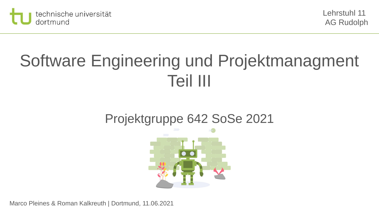

# Software Engineering und Projektmanagment Teil III

### Projektgruppe 642 SoSe 2021

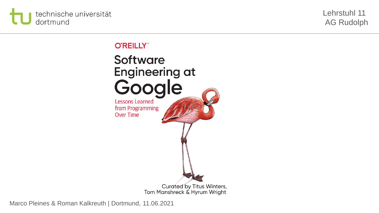

Lehrstuhl 11 AG Rudolph

### **O'REILLY®**

Software **Engineering at** Google **Lessons Learned** from Programming **Over Time** Curated by Titus Winters, Tom Manshreck & Hyrum Wright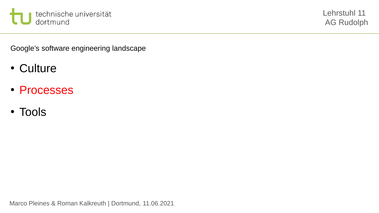

Google's software engineering landscape

- Culture
- Processes
- Tools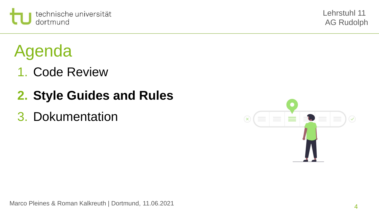

## Agenda

- 1. Code Review
- **2. Style Guides and Rules**
- 3. Dokumentation

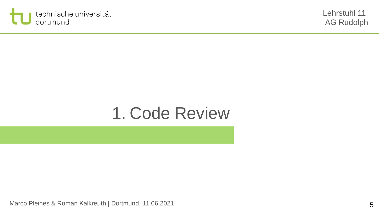

## 1. Code Review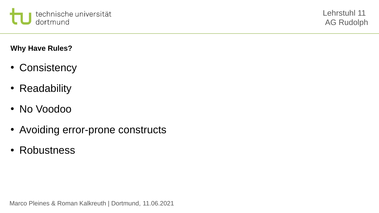

**Why Have Rules?** 

- Consistency
- Readability
- No Voodoo
- Avoiding error-prone constructs
- Robustness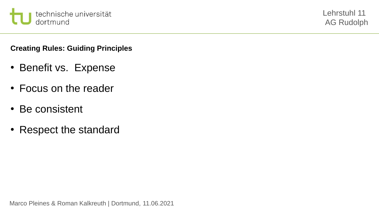

### **Creating Rules: Guiding Principles**

- Benefit vs. Expense
- Focus on the reader
- Be consistent
- Respect the standard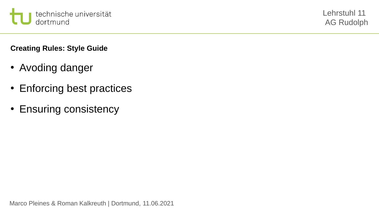

**Creating Rules: Style Guide**

- Avoding danger
- Enforcing best practices
- Ensuring consistency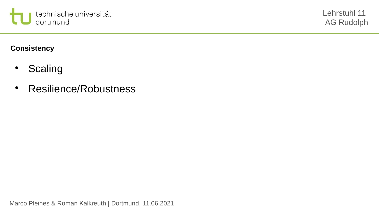

**Consistency** 

- Scaling
- Resilience/Robustness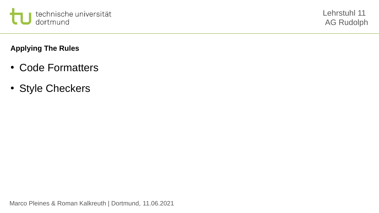

### **Applying The Rules**

- Code Formatters
- Style Checkers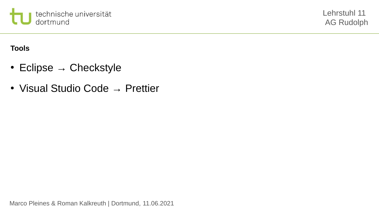

**Tools**

- Eclipse  $\rightarrow$  Checkstyle
- Visual Studio Code  $\rightarrow$  Prettier